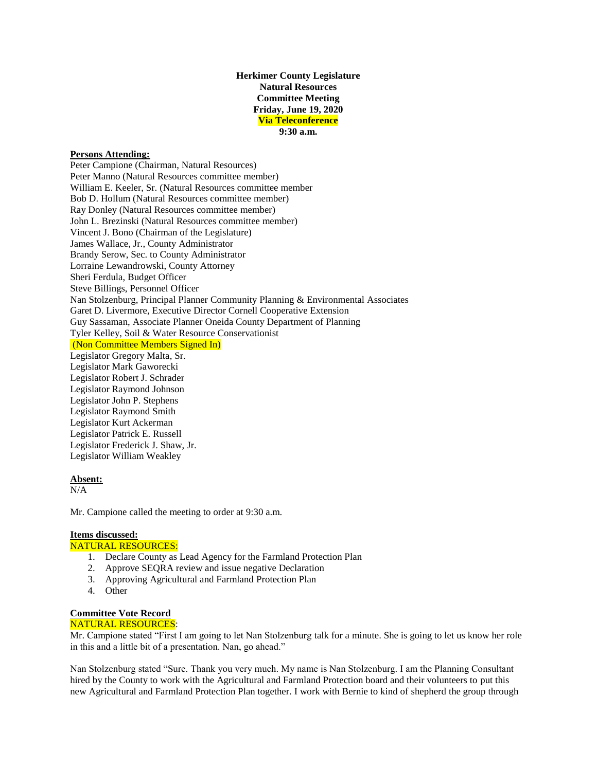## **Herkimer County Legislature Natural Resources Committee Meeting Friday, June 19, 2020 Via Teleconference 9:30 a.m.**

## **Persons Attending:**

Peter Campione (Chairman, Natural Resources) Peter Manno (Natural Resources committee member) William E. Keeler, Sr. (Natural Resources committee member Bob D. Hollum (Natural Resources committee member) Ray Donley (Natural Resources committee member) John L. Brezinski (Natural Resources committee member) Vincent J. Bono (Chairman of the Legislature) James Wallace, Jr., County Administrator Brandy Serow, Sec. to County Administrator Lorraine Lewandrowski, County Attorney Sheri Ferdula, Budget Officer Steve Billings, Personnel Officer Nan Stolzenburg, Principal Planner Community Planning & Environmental Associates Garet D. Livermore, Executive Director Cornell Cooperative Extension Guy Sassaman, Associate Planner Oneida County Department of Planning Tyler Kelley, Soil & Water Resource Conservationist (Non Committee Members Signed In) Legislator Gregory Malta, Sr. Legislator Mark Gaworecki Legislator Robert J. Schrader Legislator Raymond Johnson Legislator John P. Stephens Legislator Raymond Smith Legislator Kurt Ackerman Legislator Patrick E. Russell Legislator Frederick J. Shaw, Jr. Legislator William Weakley

### **Absent:**

 $N/A$ 

Mr. Campione called the meeting to order at 9:30 a.m.

# **Items discussed:**

## NATURAL RESOURCES:

- 1. Declare County as Lead Agency for the Farmland Protection Plan
- 2. Approve SEQRA review and issue negative Declaration
- 3. Approving Agricultural and Farmland Protection Plan
- 4. Other

#### **Committee Vote Record** NATURAL RESOURCES:

Mr. Campione stated "First I am going to let Nan Stolzenburg talk for a minute. She is going to let us know her role in this and a little bit of a presentation. Nan, go ahead."

Nan Stolzenburg stated "Sure. Thank you very much. My name is Nan Stolzenburg. I am the Planning Consultant hired by the County to work with the Agricultural and Farmland Protection board and their volunteers to put this new Agricultural and Farmland Protection Plan together. I work with Bernie to kind of shepherd the group through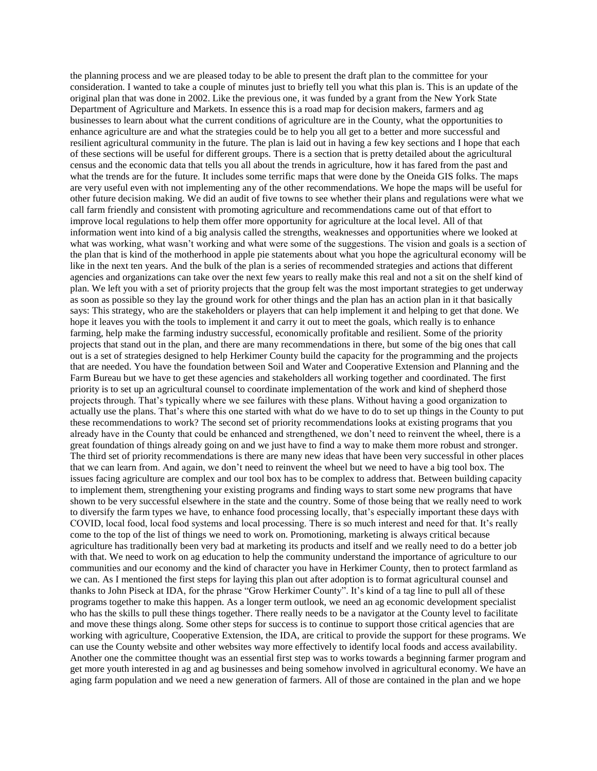the planning process and we are pleased today to be able to present the draft plan to the committee for your consideration. I wanted to take a couple of minutes just to briefly tell you what this plan is. This is an update of the original plan that was done in 2002. Like the previous one, it was funded by a grant from the New York State Department of Agriculture and Markets. In essence this is a road map for decision makers, farmers and ag businesses to learn about what the current conditions of agriculture are in the County, what the opportunities to enhance agriculture are and what the strategies could be to help you all get to a better and more successful and resilient agricultural community in the future. The plan is laid out in having a few key sections and I hope that each of these sections will be useful for different groups. There is a section that is pretty detailed about the agricultural census and the economic data that tells you all about the trends in agriculture, how it has fared from the past and what the trends are for the future. It includes some terrific maps that were done by the Oneida GIS folks. The maps are very useful even with not implementing any of the other recommendations. We hope the maps will be useful for other future decision making. We did an audit of five towns to see whether their plans and regulations were what we call farm friendly and consistent with promoting agriculture and recommendations came out of that effort to improve local regulations to help them offer more opportunity for agriculture at the local level. All of that information went into kind of a big analysis called the strengths, weaknesses and opportunities where we looked at what was working, what wasn't working and what were some of the suggestions. The vision and goals is a section of the plan that is kind of the motherhood in apple pie statements about what you hope the agricultural economy will be like in the next ten years. And the bulk of the plan is a series of recommended strategies and actions that different agencies and organizations can take over the next few years to really make this real and not a sit on the shelf kind of plan. We left you with a set of priority projects that the group felt was the most important strategies to get underway as soon as possible so they lay the ground work for other things and the plan has an action plan in it that basically says: This strategy, who are the stakeholders or players that can help implement it and helping to get that done. We hope it leaves you with the tools to implement it and carry it out to meet the goals, which really is to enhance farming, help make the farming industry successful, economically profitable and resilient. Some of the priority projects that stand out in the plan, and there are many recommendations in there, but some of the big ones that call out is a set of strategies designed to help Herkimer County build the capacity for the programming and the projects that are needed. You have the foundation between Soil and Water and Cooperative Extension and Planning and the Farm Bureau but we have to get these agencies and stakeholders all working together and coordinated. The first priority is to set up an agricultural counsel to coordinate implementation of the work and kind of shepherd those projects through. That's typically where we see failures with these plans. Without having a good organization to actually use the plans. That's where this one started with what do we have to do to set up things in the County to put these recommendations to work? The second set of priority recommendations looks at existing programs that you already have in the County that could be enhanced and strengthened, we don't need to reinvent the wheel, there is a great foundation of things already going on and we just have to find a way to make them more robust and stronger. The third set of priority recommendations is there are many new ideas that have been very successful in other places that we can learn from. And again, we don't need to reinvent the wheel but we need to have a big tool box. The issues facing agriculture are complex and our tool box has to be complex to address that. Between building capacity to implement them, strengthening your existing programs and finding ways to start some new programs that have shown to be very successful elsewhere in the state and the country. Some of those being that we really need to work to diversify the farm types we have, to enhance food processing locally, that's especially important these days with COVID, local food, local food systems and local processing. There is so much interest and need for that. It's really come to the top of the list of things we need to work on. Promotioning, marketing is always critical because agriculture has traditionally been very bad at marketing its products and itself and we really need to do a better job with that. We need to work on ag education to help the community understand the importance of agriculture to our communities and our economy and the kind of character you have in Herkimer County, then to protect farmland as we can. As I mentioned the first steps for laying this plan out after adoption is to format agricultural counsel and thanks to John Piseck at IDA, for the phrase "Grow Herkimer County". It's kind of a tag line to pull all of these programs together to make this happen. As a longer term outlook, we need an ag economic development specialist who has the skills to pull these things together. There really needs to be a navigator at the County level to facilitate and move these things along. Some other steps for success is to continue to support those critical agencies that are working with agriculture, Cooperative Extension, the IDA, are critical to provide the support for these programs. We can use the County website and other websites way more effectively to identify local foods and access availability. Another one the committee thought was an essential first step was to works towards a beginning farmer program and get more youth interested in ag and ag businesses and being somehow involved in agricultural economy. We have an aging farm population and we need a new generation of farmers. All of those are contained in the plan and we hope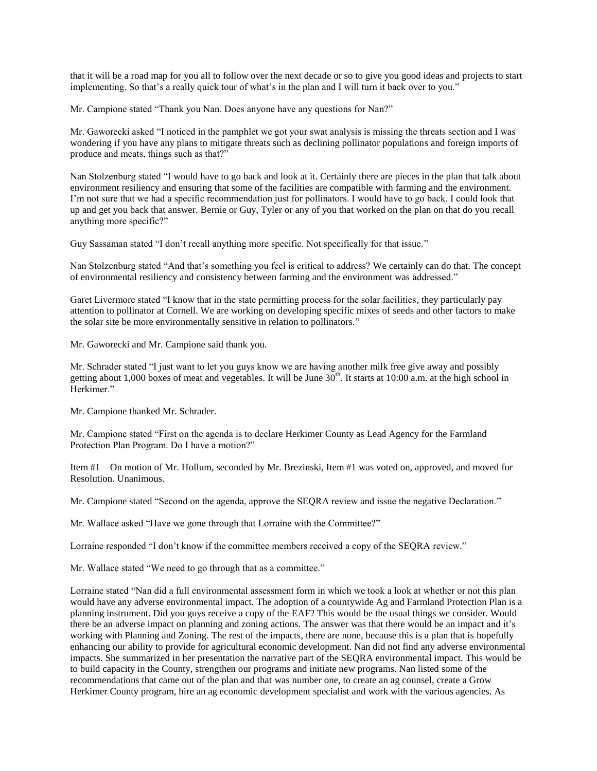that it will be a road map for you all to follow over the next decade or so to give you good ideas and projects to start implementing. So that's a really quick tour of what's in the plan and I will turn it back over to you."

Mr. Campione stated "Thank you Nan. Does anyone have any questions for Nan?"

Mr. Gaworecki asked "I noticed in the pamphlet we got your swat analysis is missing the threats section and I was wondering if you have any plans to mitigate threats such as declining pollinator populations and foreign imports of produce and meats, things such as that?"

Nan Stolzenburg stated "I would have to go back and look at it. Certainly there are pieces in the plan that talk about environment resiliency and ensuring that some of the facilities are compatible with farming and the environment. I'm not sure that we had a specific recommendation just for pollinators. I would have to go back. I could look that up and get you back that answer. Bernie or Guy, Tyler or any of you that worked on the plan on that do you recall anything more specific?"

Guy Sassaman stated "I don't recall anything more specific. Not specifically for that issue."

Nan Stolzenburg stated "And that's something you feel is critical to address? We certainly can do that. The concept of environmental resiliency and consistency between farming and the environment was addressed."

Garet Livermore stated "I know that in the state permitting process for the solar facilities, they particularly pay attention to pollinator at Cornell. We are working on developing specific mixes of seeds and other factors to make the solar site be more environmentally sensitive in relation to pollinators."

Mr. Gaworecki and Mr. Campione said thank you.

Mr. Schrader stated "I just want to let you guys know we are having another milk free give away and possibly getting about 1,000 boxes of meat and vegetables. It will be June  $30<sup>th</sup>$ . It starts at 10:00 a.m. at the high school in Herkimer."

Mr. Campione thanked Mr. Schrader.

Mr. Campione stated "First on the agenda is to declare Herkimer County as Lead Agency for the Farmland Protection Plan Program. Do I have a motion?"

Item #1 – On motion of Mr. Hollum, seconded by Mr. Brezinski, Item #1 was voted on, approved, and moved for Resolution. Unanimous.

Mr. Campione stated "Second on the agenda, approve the SEQRA review and issue the negative Declaration."

Mr. Wallace asked "Have we gone through that Lorraine with the Committee?"

Lorraine responded "I don't know if the committee members received a copy of the SEQRA review."

Mr. Wallace stated "We need to go through that as a committee."

Lorraine stated "Nan did a full environmental assessment form in which we took a look at whether or not this plan would have any adverse environmental impact. The adoption of a countywide Ag and Farmland Protection Plan is a planning instrument. Did you guys receive a copy of the EAF? This would be the usual things we consider. Would there be an adverse impact on planning and zoning actions. The answer was that there would be an impact and it's working with Planning and Zoning. The rest of the impacts, there are none, because this is a plan that is hopefully enhancing our ability to provide for agricultural economic development. Nan did not find any adverse environmental impacts. She summarized in her presentation the narrative part of the SEQRA environmental impact. This would be to build capacity in the County, strengthen our programs and initiate new programs. Nan listed some of the recommendations that came out of the plan and that was number one, to create an ag counsel, create a Grow Herkimer County program, hire an ag economic development specialist and work with the various agencies. As